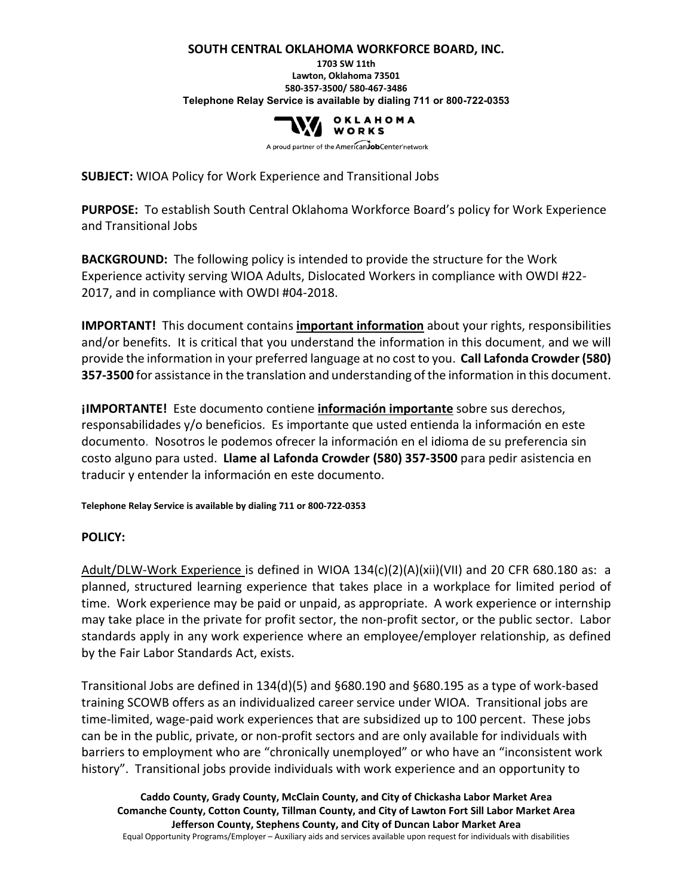#### **SOUTH CENTRAL OKLAHOMA WORKFORCE BOARD, INC.**

#### **1703 SW 11th Lawton, Oklahoma 73501 580-357-3500/ 580-467-3486 Telephone Relay Service is available by dialing 711 or 800-722-0353**



A proud partner of the AmericanJobCenter network

**SUBJECT:** WIOA Policy for Work Experience and Transitional Jobs

**PURPOSE:** To establish South Central Oklahoma Workforce Board's policy for Work Experience and Transitional Jobs

**BACKGROUND:** The following policy is intended to provide the structure for the Work Experience activity serving WIOA Adults, Dislocated Workers in compliance with OWDI #22- 2017, and in compliance with OWDI #04-2018.

**IMPORTANT!** This document contains **important information** about your rights, responsibilities and/or benefits. It is critical that you understand the information in this document, and we will provide the information in your preferred language at no cost to you. **Call Lafonda Crowder (580) 357-3500** for assistance in the translation and understanding of the information in this document.

**¡IMPORTANTE!** Este documento contiene **información importante** sobre sus derechos, responsabilidades y/o beneficios. Es importante que usted entienda la información en este documento. Nosotros le podemos ofrecer la información en el idioma de su preferencia sin costo alguno para usted. **Llame al Lafonda Crowder (580) 357-3500** para pedir asistencia en traducir y entender la información en este documento.

**Telephone Relay Service is available by dialing 711 or 800-722-0353**

#### **POLICY:**

Adult/DLW-Work Experience is defined in WIOA 134(c)(2)(A)(xii)(VII) and 20 CFR 680.180 as: a planned, structured learning experience that takes place in a workplace for limited period of time. Work experience may be paid or unpaid, as appropriate. A work experience or internship may take place in the private for profit sector, the non-profit sector, or the public sector. Labor standards apply in any work experience where an employee/employer relationship, as defined by the Fair Labor Standards Act, exists.

Transitional Jobs are defined in 134(d)(5) and §680.190 and §680.195 as a type of work-based training SCOWB offers as an individualized career service under WIOA. Transitional jobs are time-limited, wage-paid work experiences that are subsidized up to 100 percent. These jobs can be in the public, private, or non-profit sectors and are only available for individuals with barriers to employment who are "chronically unemployed" or who have an "inconsistent work history". Transitional jobs provide individuals with work experience and an opportunity to

**Caddo County, Grady County, McClain County, and City of Chickasha Labor Market Area Comanche County, Cotton County, Tillman County, and City of Lawton Fort Sill Labor Market Area Jefferson County, Stephens County, and City of Duncan Labor Market Area** Equal Opportunity Programs/Employer – Auxiliary aids and services available upon request for individuals with disabilities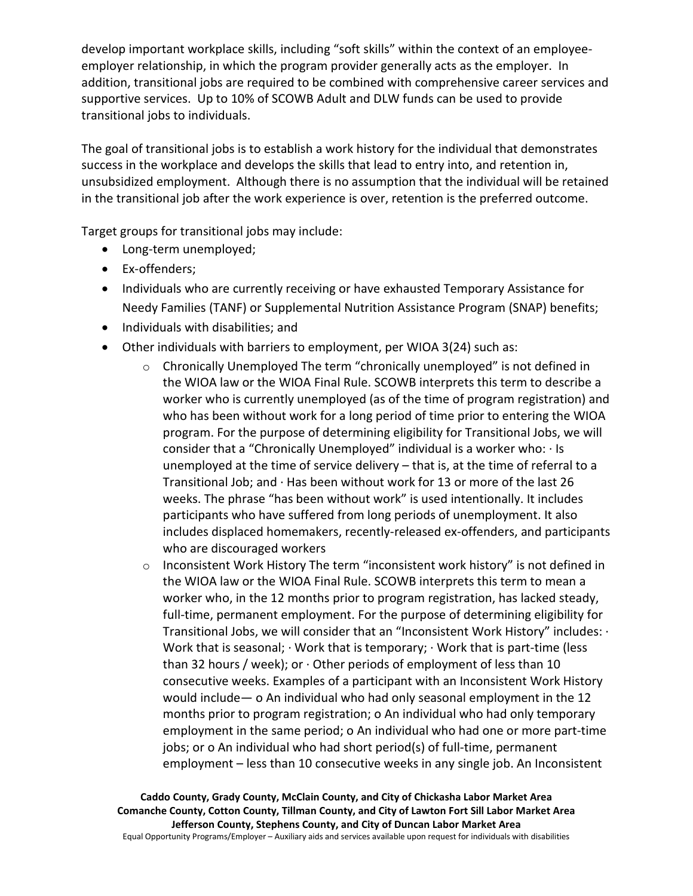develop important workplace skills, including "soft skills" within the context of an employeeemployer relationship, in which the program provider generally acts as the employer. In addition, transitional jobs are required to be combined with comprehensive career services and supportive services. Up to 10% of SCOWB Adult and DLW funds can be used to provide transitional jobs to individuals.

The goal of transitional jobs is to establish a work history for the individual that demonstrates success in the workplace and develops the skills that lead to entry into, and retention in, unsubsidized employment. Although there is no assumption that the individual will be retained in the transitional job after the work experience is over, retention is the preferred outcome.

Target groups for transitional jobs may include:

- Long-term unemployed;
- Ex-offenders;
- Individuals who are currently receiving or have exhausted Temporary Assistance for Needy Families (TANF) or Supplemental Nutrition Assistance Program (SNAP) benefits;
- Individuals with disabilities; and
- Other individuals with barriers to employment, per WIOA 3(24) such as:
	- $\circ$  Chronically Unemployed The term "chronically unemployed" is not defined in the WIOA law or the WIOA Final Rule. SCOWB interprets this term to describe a worker who is currently unemployed (as of the time of program registration) and who has been without work for a long period of time prior to entering the WIOA program. For the purpose of determining eligibility for Transitional Jobs, we will consider that a "Chronically Unemployed" individual is a worker who: · Is unemployed at the time of service delivery – that is, at the time of referral to a Transitional Job; and · Has been without work for 13 or more of the last 26 weeks. The phrase "has been without work" is used intentionally. It includes participants who have suffered from long periods of unemployment. It also includes displaced homemakers, recently-released ex-offenders, and participants who are discouraged workers
	- $\circ$  Inconsistent Work History The term "inconsistent work history" is not defined in the WIOA law or the WIOA Final Rule. SCOWB interprets this term to mean a worker who, in the 12 months prior to program registration, has lacked steady, full-time, permanent employment. For the purpose of determining eligibility for Transitional Jobs, we will consider that an "Inconsistent Work History" includes: · Work that is seasonal; · Work that is temporary; · Work that is part-time (less than 32 hours / week); or  $\cdot$  Other periods of employment of less than 10 consecutive weeks. Examples of a participant with an Inconsistent Work History would include— o An individual who had only seasonal employment in the 12 months prior to program registration; o An individual who had only temporary employment in the same period; o An individual who had one or more part-time jobs; or o An individual who had short period(s) of full-time, permanent employment – less than 10 consecutive weeks in any single job. An Inconsistent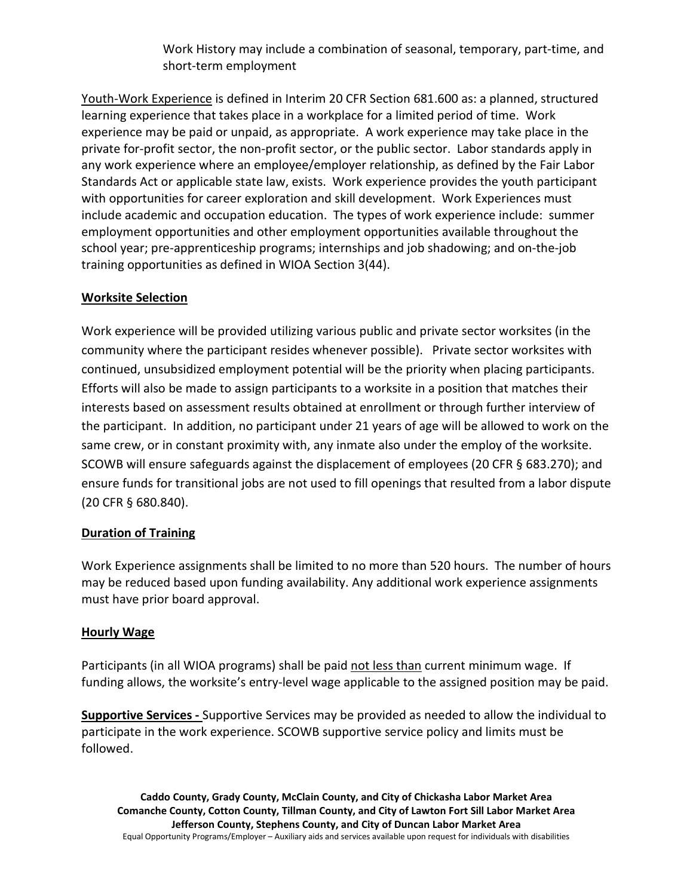Work History may include a combination of seasonal, temporary, part-time, and short-term employment

Youth-Work Experience is defined in Interim 20 CFR Section 681.600 as: a planned, structured learning experience that takes place in a workplace for a limited period of time. Work experience may be paid or unpaid, as appropriate. A work experience may take place in the private for-profit sector, the non-profit sector, or the public sector. Labor standards apply in any work experience where an employee/employer relationship, as defined by the Fair Labor Standards Act or applicable state law, exists. Work experience provides the youth participant with opportunities for career exploration and skill development. Work Experiences must include academic and occupation education. The types of work experience include: summer employment opportunities and other employment opportunities available throughout the school year; pre-apprenticeship programs; internships and job shadowing; and on-the-job training opportunities as defined in WIOA Section 3(44).

# **Worksite Selection**

Work experience will be provided utilizing various public and private sector worksites (in the community where the participant resides whenever possible). Private sector worksites with continued, unsubsidized employment potential will be the priority when placing participants. Efforts will also be made to assign participants to a worksite in a position that matches their interests based on assessment results obtained at enrollment or through further interview of the participant. In addition, no participant under 21 years of age will be allowed to work on the same crew, or in constant proximity with, any inmate also under the employ of the worksite. SCOWB will ensure safeguards against the displacement of employees (20 CFR § 683.270); and ensure funds for transitional jobs are not used to fill openings that resulted from a labor dispute (20 CFR § 680.840).

## **Duration of Training**

Work Experience assignments shall be limited to no more than 520 hours. The number of hours may be reduced based upon funding availability. Any additional work experience assignments must have prior board approval.

## **Hourly Wage**

Participants (in all WIOA programs) shall be paid not less than current minimum wage. If funding allows, the worksite's entry-level wage applicable to the assigned position may be paid.

**Supportive Services -** Supportive Services may be provided as needed to allow the individual to participate in the work experience. SCOWB supportive service policy and limits must be followed.

**Caddo County, Grady County, McClain County, and City of Chickasha Labor Market Area Comanche County, Cotton County, Tillman County, and City of Lawton Fort Sill Labor Market Area Jefferson County, Stephens County, and City of Duncan Labor Market Area** Equal Opportunity Programs/Employer – Auxiliary aids and services available upon request for individuals with disabilities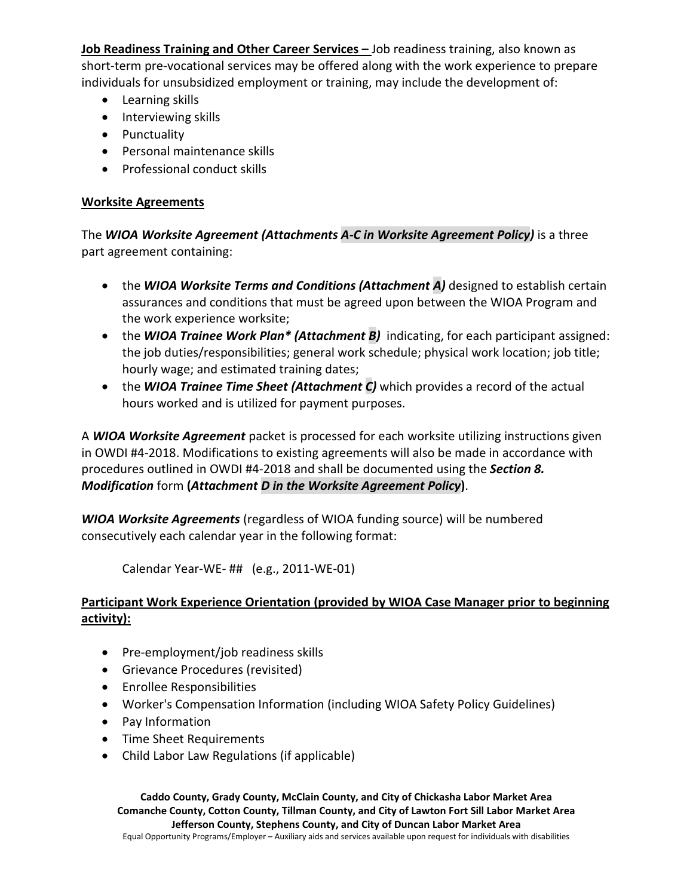**Job Readiness Training and Other Career Services –** Job readiness training, also known as short-term pre-vocational services may be offered along with the work experience to prepare individuals for unsubsidized employment or training, may include the development of:

- Learning skills
- Interviewing skills
- Punctuality
- Personal maintenance skills
- Professional conduct skills

#### **Worksite Agreements**

The *WIOA Worksite Agreement (Attachments A-C in Worksite Agreement Policy)* is a three part agreement containing:

- the *WIOA Worksite Terms and Conditions (Attachment A)* designed to establish certain assurances and conditions that must be agreed upon between the WIOA Program and the work experience worksite;
- the *WIOA Trainee Work Plan\* (Attachment B)* indicating, for each participant assigned: the job duties/responsibilities; general work schedule; physical work location; job title; hourly wage; and estimated training dates;
- the *WIOA Trainee Time Sheet (Attachment C)* which provides a record of the actual hours worked and is utilized for payment purposes.

A *WIOA Worksite Agreement* packet is processed for each worksite utilizing instructions given in OWDI #4-2018. Modifications to existing agreements will also be made in accordance with procedures outlined in OWDI #4-2018 and shall be documented using the *Section 8. Modification* form **(***Attachment D in the Worksite Agreement Policy***)**.

*WIOA Worksite Agreements* (regardless of WIOA funding source) will be numbered consecutively each calendar year in the following format:

Calendar Year-WE- ## (e.g., 2011-WE-01)

## **Participant Work Experience Orientation (provided by WIOA Case Manager prior to beginning activity):**

- Pre-employment/job readiness skills
- Grievance Procedures (revisited)
- Enrollee Responsibilities
- Worker's Compensation Information (including WIOA Safety Policy Guidelines)
- Pay Information
- Time Sheet Requirements
- Child Labor Law Regulations (if applicable)

**Caddo County, Grady County, McClain County, and City of Chickasha Labor Market Area Comanche County, Cotton County, Tillman County, and City of Lawton Fort Sill Labor Market Area Jefferson County, Stephens County, and City of Duncan Labor Market Area** Equal Opportunity Programs/Employer – Auxiliary aids and services available upon request for individuals with disabilities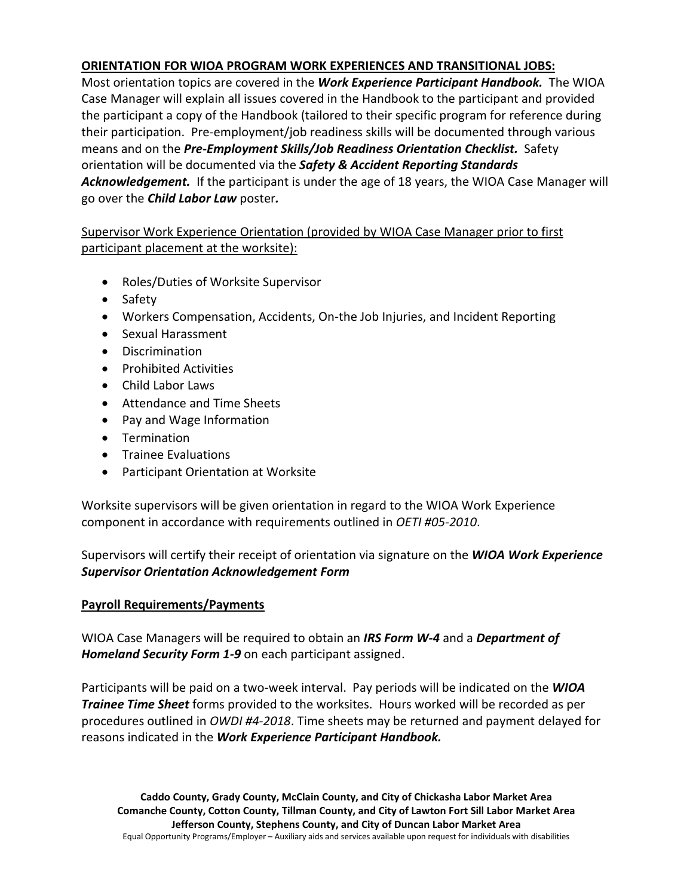## **ORIENTATION FOR WIOA PROGRAM WORK EXPERIENCES AND TRANSITIONAL JOBS:**

Most orientation topics are covered in the *Work Experience Participant Handbook.* The WIOA Case Manager will explain all issues covered in the Handbook to the participant and provided the participant a copy of the Handbook (tailored to their specific program for reference during their participation. Pre-employment/job readiness skills will be documented through various means and on the *Pre-Employment Skills/Job Readiness Orientation Checklist.* Safety orientation will be documented via the *Safety & Accident Reporting Standards Acknowledgement.* If the participant is under the age of 18 years, the WIOA Case Manager will go over the *Child Labor Law* poster*.*

# Supervisor Work Experience Orientation (provided by WIOA Case Manager prior to first participant placement at the worksite):

- Roles/Duties of Worksite Supervisor
- Safety
- Workers Compensation, Accidents, On-the Job Injuries, and Incident Reporting
- Sexual Harassment
- Discrimination
- Prohibited Activities
- Child Labor Laws
- Attendance and Time Sheets
- Pay and Wage Information
- Termination
- Trainee Evaluations
- Participant Orientation at Worksite

Worksite supervisors will be given orientation in regard to the WIOA Work Experience component in accordance with requirements outlined in *OETI #05-2010*.

Supervisors will certify their receipt of orientation via signature on the *WIOA Work Experience Supervisor Orientation Acknowledgement Form* 

## **Payroll Requirements/Payments**

WIOA Case Managers will be required to obtain an *IRS Form W-4* and a *Department of Homeland Security Form 1-9* on each participant assigned.

Participants will be paid on a two-week interval. Pay periods will be indicated on the *WIOA Trainee Time Sheet* forms provided to the worksites. Hours worked will be recorded as per procedures outlined in *OWDI #4-2018*. Time sheets may be returned and payment delayed for reasons indicated in the *Work Experience Participant Handbook.*